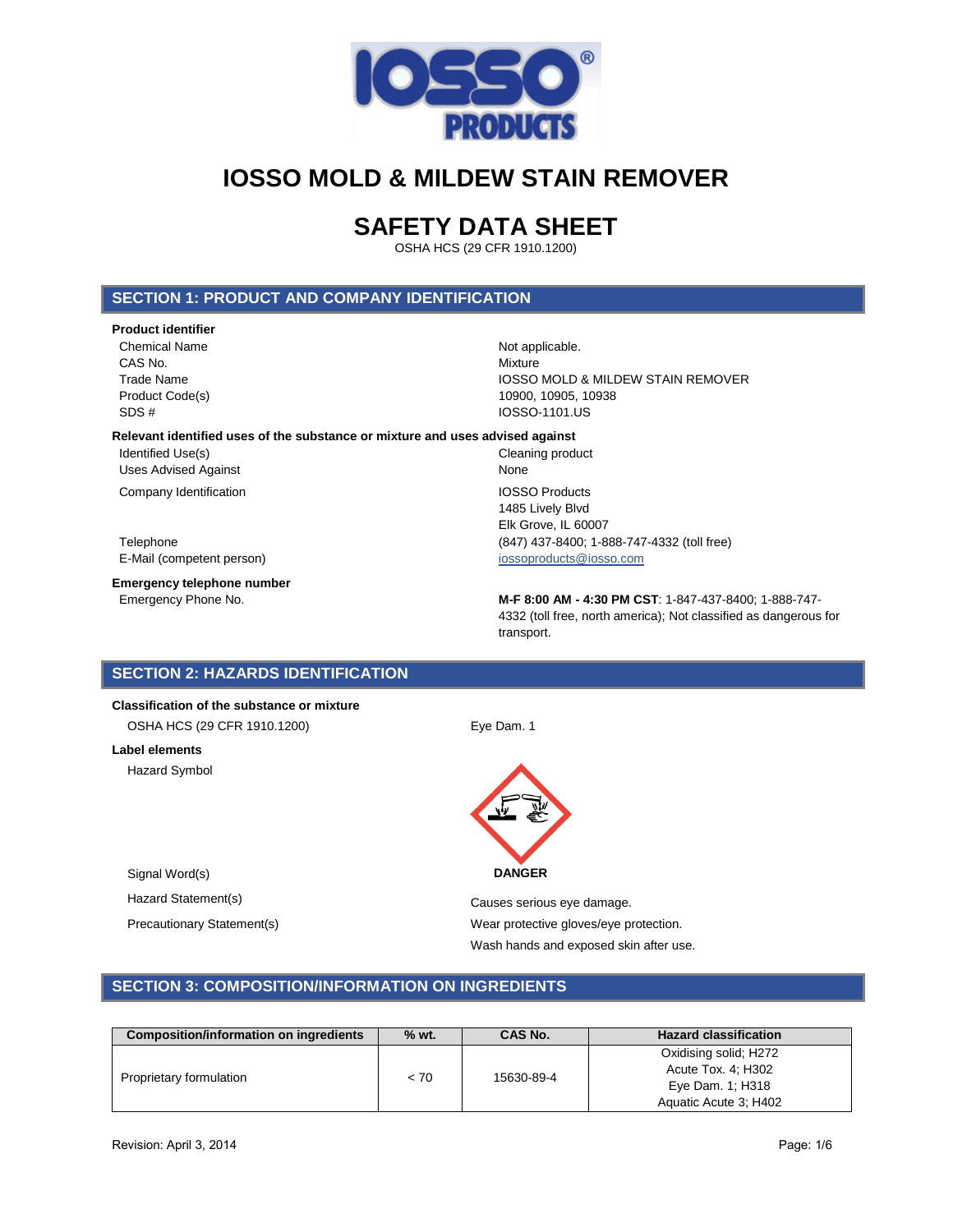

# **SAFETY DATA SHEET**

OSHA HCS (29 CFR 1910.1200)

## **SECTION 1: PRODUCT AND COMPANY IDENTIFICATION**

### **Product identifier**

Chemical Name Not applicable. CAS No. **Mixture** SDS # IOSSO-1101.US

Trade Name **IOSSO MOLD & MILDEW STAIN REMOVER** Product Code(s) 10900, 10905, 10938

### **Relevant identified uses of the substance or mixture and uses advised against**

Identified Use(s) **Cleaning product** Uses Advised Against None

**Company Identification IOSSO Products** 

E-Mail (competent person) in the state of the state of the state of the state of the state of the state of the state of the state of the state of the state of the state of the state of the state of the state of the state o

**Emergency telephone number**

1485 Lively Blvd Elk Grove, IL 60007 Telephone (847) 437-8400; 1-888-747-4332 (toll free)

Emergency Phone No. **M-F 8:00 AM - 4:30 PM CST**: 1-847-437-8400; 1-888-747- 4332 (toll free, north america); Not classified as dangerous for transport.

## **SECTION 2: HAZARDS IDENTIFICATION**

## **Classification of the substance or mixture**

OSHA HCS (29 CFR 1910.1200) Eye Dam. 1

#### **Label elements**

Hazard Symbol



Hazard Statement(s) example a control of the Causes serious eye damage. Precautionary Statement(s) example and the Wear protective gloves/eye protection. Wash hands and exposed skin after use.

## **SECTION 3: COMPOSITION/INFORMATION ON INGREDIENTS**

| Composition/information on ingredients | $%$ wt. | CAS No.    | <b>Hazard classification</b> |
|----------------------------------------|---------|------------|------------------------------|
|                                        |         |            | Oxidising solid; H272        |
| Proprietary formulation                | < 70    | 15630-89-4 | Acute Tox. 4; H302           |
|                                        |         |            | Eye Dam. 1: H318             |
|                                        |         |            | Aquatic Acute 3: H402        |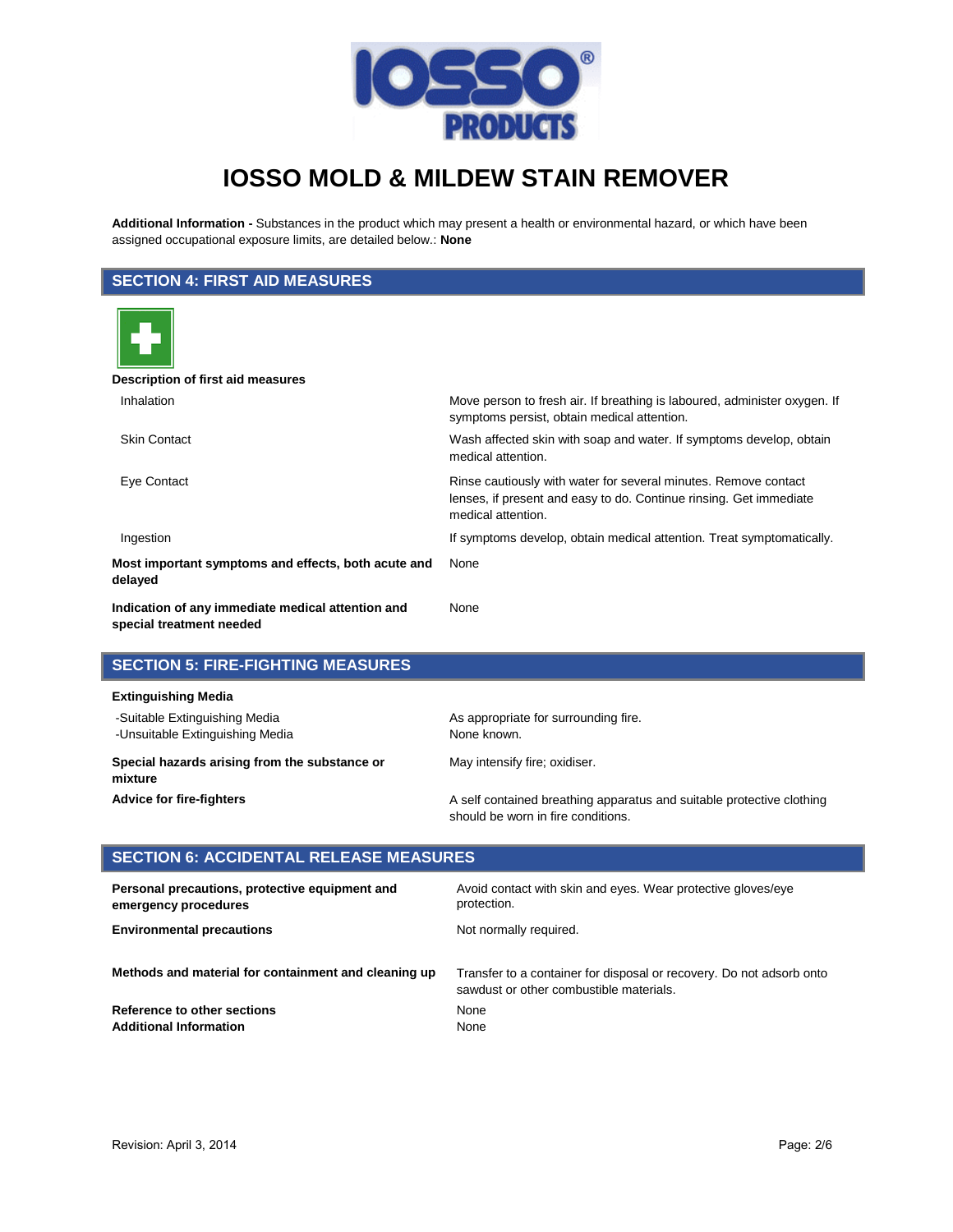

**Additional Information -** Substances in the product which may present a health or environmental hazard, or which have been assigned occupational exposure limits, are detailed below.: **None**

## **SECTION 4: FIRST AID MEASURES**

| Description of first aid measures                                             |                                                                                                                                                             |
|-------------------------------------------------------------------------------|-------------------------------------------------------------------------------------------------------------------------------------------------------------|
| Inhalation                                                                    | Move person to fresh air. If breathing is laboured, administer oxygen. If<br>symptoms persist, obtain medical attention.                                    |
| <b>Skin Contact</b>                                                           | Wash affected skin with soap and water. If symptoms develop, obtain<br>medical attention.                                                                   |
| Eye Contact                                                                   | Rinse cautiously with water for several minutes. Remove contact<br>lenses, if present and easy to do. Continue rinsing. Get immediate<br>medical attention. |
| Ingestion                                                                     | If symptoms develop, obtain medical attention. Treat symptomatically.                                                                                       |
| Most important symptoms and effects, both acute and<br>delayed                | None                                                                                                                                                        |
| Indication of any immediate medical attention and<br>special treatment needed | None                                                                                                                                                        |

### **SECTION 5: FIRE-FIGHTING MEASURES**

#### **Extinguishing Media**

| -Suitable Extinguishing Media<br>-Unsuitable Extinguishing Media | As appropriate for surrounding fire.<br>None known.                                                         |  |  |
|------------------------------------------------------------------|-------------------------------------------------------------------------------------------------------------|--|--|
| Special hazards arising from the substance or<br>mixture         | May intensify fire; oxidiser.                                                                               |  |  |
| <b>Advice for fire-fighters</b>                                  | A self contained breathing apparatus and suitable protective clothing<br>should be worn in fire conditions. |  |  |

## **SECTION 6: ACCIDENTAL RELEASE MEASURES**

| Personal precautions, protective equipment and       | Avoid contact with skin and eyes. Wear protective gloves/eye                                                    |
|------------------------------------------------------|-----------------------------------------------------------------------------------------------------------------|
| emergency procedures                                 | protection.                                                                                                     |
| <b>Environmental precautions</b>                     | Not normally required.                                                                                          |
| Methods and material for containment and cleaning up | Transfer to a container for disposal or recovery. Do not adsorb onto<br>sawdust or other combustible materials. |
| Reference to other sections                          | None                                                                                                            |
| <b>Additional Information</b>                        | None                                                                                                            |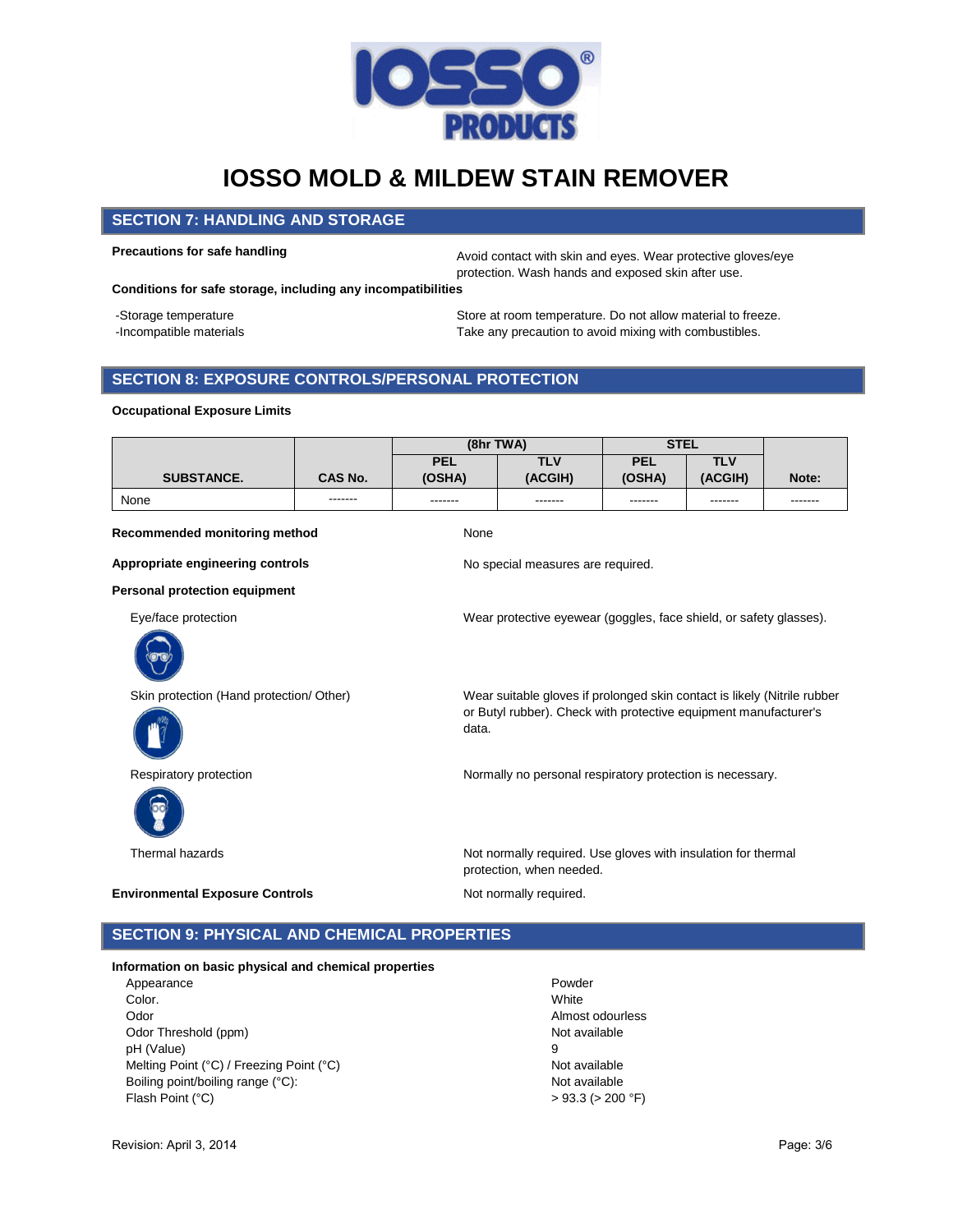

### **SECTION 7: HANDLING AND STORAGE**

**Precautions for safe handling Avoid contact with skin and eyes. Wear protective gloves/eye** protection. Wash hands and exposed skin after use.

**Conditions for safe storage, including any incompatibilities**

- 
- 

-Storage temperature Store at room temperature. Do not allow material to freeze. -Incompatible materials Take any precaution to avoid mixing with combustibles.

## **SECTION 8: EXPOSURE CONTROLS/PERSONAL PROTECTION**

| <b>Occupational Exposure Limits</b>      |         |                      |                                                                                                                                              |                      |                       |         |
|------------------------------------------|---------|----------------------|----------------------------------------------------------------------------------------------------------------------------------------------|----------------------|-----------------------|---------|
|                                          |         | (8hr TWA)            |                                                                                                                                              | <b>STEL</b>          |                       |         |
| <b>SUBSTANCE.</b>                        | CAS No. | <b>PEL</b><br>(OSHA) | <b>TLV</b><br>(ACGIH)                                                                                                                        | <b>PEL</b><br>(OSHA) | <b>TLV</b><br>(ACGIH) | Note:   |
| None                                     |         | -------              | -------                                                                                                                                      | -------              | -------               | ------- |
| Recommended monitoring method            |         | None                 |                                                                                                                                              |                      |                       |         |
| Appropriate engineering controls         |         |                      | No special measures are required.                                                                                                            |                      |                       |         |
| <b>Personal protection equipment</b>     |         |                      |                                                                                                                                              |                      |                       |         |
| Eye/face protection                      |         |                      | Wear protective eyewear (goggles, face shield, or safety glasses).                                                                           |                      |                       |         |
| Skin protection (Hand protection/ Other) |         | data.                | Wear suitable gloves if prolonged skin contact is likely (Nitrile rubber<br>or Butyl rubber). Check with protective equipment manufacturer's |                      |                       |         |
| Respiratory protection                   |         |                      | Normally no personal respiratory protection is necessary.                                                                                    |                      |                       |         |
| Thermal hazards                          |         |                      | Not normally required. Use gloves with insulation for thermal<br>protection, when needed.                                                    |                      |                       |         |
| <b>Environmental Exposure Controls</b>   |         |                      | Not normally required.                                                                                                                       |                      |                       |         |

## **SECTION 9: PHYSICAL AND CHEMICAL PROPERTIES**

### **Information on basic physical and chemical properties**

Appearance **Powder** Color. White Odor **Almost odourless** Odor Threshold (ppm) Not available pH (Value) 9 Melting Point (°C) / Freezing Point (°C)  $\blacksquare$  Not available Boiling point/boiling range (°C): Not available Flash Point (°C)  $> 93.3$  ( $> 200$ °F)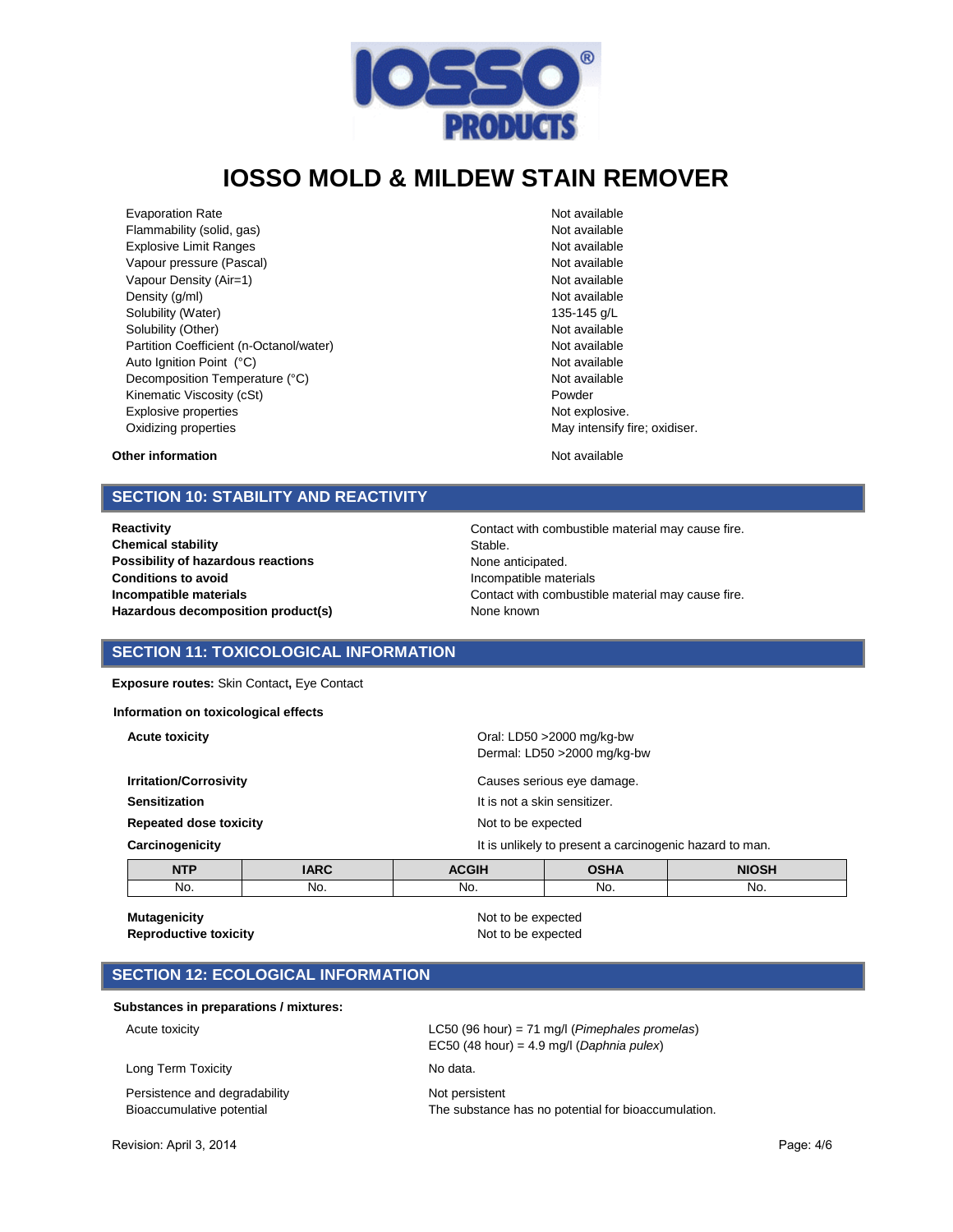

Evaporation Rate Not available Flammability (solid, gas) and the state of the state of the Not available not available Explosive Limit Ranges Not available Vapour pressure (Pascal) Not available Not available Not available Vapour Density (Air=1) Not available Density  $(g/m)$  Not available Solubility (Water) 135-145 g/L Solubility (Other) Not available Partition Coefficient (n-Octanol/water) Not available Auto Ignition Point (°C) and the control of the control of the Not available Not available Decomposition Temperature (°C) Not available Kinematic Viscosity (cSt) example of the extension of the Powder Explosive properties **Not explosive.** Not explosive. Oxidizing properties **May intensify fire; oxidiser.** May intensify fire; oxidiser.

#### **Other information Other information Not available**

### **SECTION 10: STABILITY AND REACTIVITY**

**Chemical stability** Stable. **Possibility of hazardous reactions None anticipated. Possibility of hazardous reactions Conditions to avoid Incompatible materials** Hazardous decomposition product(s) Mone known

**Reactivity Reactivity Contact with combustible material may cause fire. Incompatible materials Incompatible materials Contact with combustible material may cause fire.** 

### **SECTION 11: TOXICOLOGICAL INFORMATION**

**Exposure routes:** Skin Contact**,** Eye Contact

**Information on toxicological effects**

**Acute toxicity Acute toxicity Acute toxicity Acute toxicity Oral:** LD50 >2000 mg/kg-bw

|                               |             |                    | Dermal: LD50 > 2000 mg/kg-bw                            |              |  |
|-------------------------------|-------------|--------------------|---------------------------------------------------------|--------------|--|
| <b>Irritation/Corrosivity</b> |             |                    | Causes serious eye damage.                              |              |  |
| Sensitization                 |             |                    | It is not a skin sensitizer.                            |              |  |
| <b>Repeated dose toxicity</b> |             | Not to be expected |                                                         |              |  |
| Carcinogenicity               |             |                    | It is unlikely to present a carcinogenic hazard to man. |              |  |
| <b>NTP</b>                    | <b>IARC</b> | <b>ACGIH</b>       | <b>OSHA</b>                                             | <b>NIOSH</b> |  |
| No.                           | No.         | No.                | No.                                                     | No.          |  |

**Mutagenicity Mutagenicity Not to be expected** 

**Reproductive toxicity** Not to be expected

## **SECTION 12: ECOLOGICAL INFORMATION**

#### **Substances in preparations / mixtures:**

Acute toxicity LC50 (96 hour) = 71 mg/l (*Pimephales promelas*)

Long Term Toxicity **No data.** No data.

Persistence and degradability Not persistent

EC50 (48 hour) = 4.9 mg/l (*Daphnia pulex*)

Bioaccumulative potential The substance has no potential for bioaccumulation.

Revision: April 3, 2014 Page: 4/6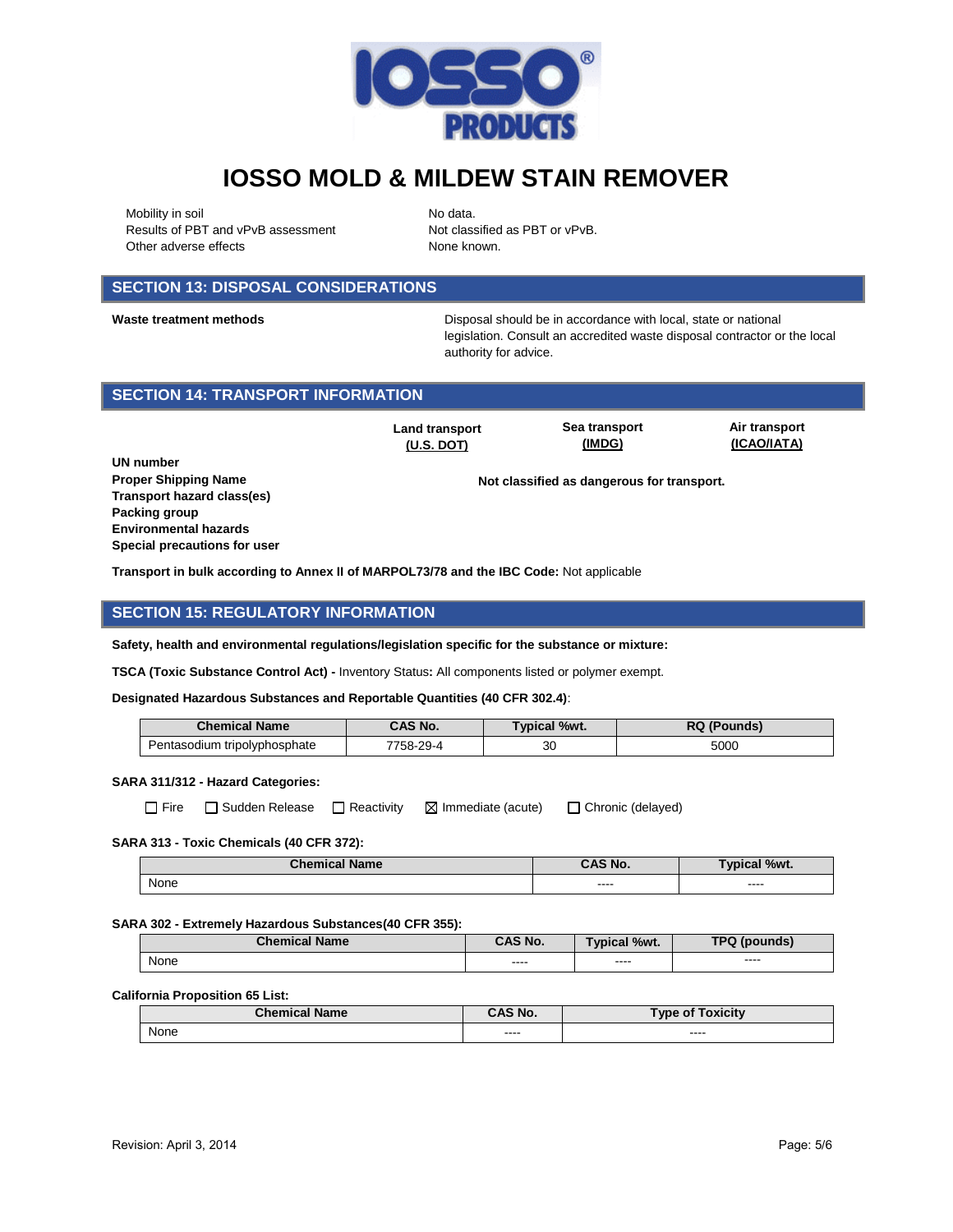

Mobility in soil No data. Results of PBT and vPvB assessment Not classified as PBT or vPvB. Other adverse effects None known.

## **SECTION 13: DISPOSAL CONSIDERATIONS**

**Waste treatment methods** Disposal should be in accordance with local, state or national legislation. Consult an accredited waste disposal contractor or the local authority for advice.

## **SECTION 14: TRANSPORT INFORMATION**

**Land transport (U.S. DOT)**

**Sea transport (IMDG)**

**Air transport (ICAO/IATA)**

**UN number Proper Shipping Name <b>Not class** Not classified as dangerous for transport. **Transport hazard class(es) Packing group Environmental hazards Special precautions for user**

**Transport in bulk according to Annex II of MARPOL73/78 and the IBC Code:** Not applicable

## **SECTION 15: REGULATORY INFORMATION**

**Safety, health and environmental regulations/legislation specific for the substance or mixture:**

**TSCA (Toxic Substance Control Act) -** Inventory Status**:** All components listed or polymer exempt.

**Designated Hazardous Substances and Reportable Quantities (40 CFR 302.4)**:

| <b>Chemical Name</b>         | CAS No.  | Typical %wt. | RQ (Pounds) |
|------------------------------|----------|--------------|-------------|
| Pentasodium tripolyphosphate | 758-29-4 | 30           | 5000        |

### **SARA 311/312 - Hazard Categories:**

|--|

 $\Box$  Fire  $\Box$  Sudden Release  $\Box$  Reactivity  $\Box$  Immediate (acute)  $\Box$  Chronic (delayed)

#### **SARA 313 - Toxic Chemicals (40 CFR 372):**

| ' Name<br>Chemical. | $^{\circ}$ AS No. | %wt.<br><b>Typica</b> |
|---------------------|-------------------|-----------------------|
| None                | -----<br>____     | ----<br>___           |

#### **SARA 302 - Extremely Hazardous Substances(40 CFR 355):**

| <b>Chemical Name</b> | <b>CAS No.</b> | <b>Typical %wt.</b> | TPQ (pounds)  |
|----------------------|----------------|---------------------|---------------|
| None                 |                | ----                | $\frac{1}{2}$ |
|                      | $\cdots$       | ----                | ____          |

#### **California Proposition 65 List:**

| <b>Chemical Name</b> | `AS No.        | <b>'Toxicity</b><br>$\mathsf{Type}~\mathsf{of}$ . |
|----------------------|----------------|---------------------------------------------------|
| None                 | -----<br>_____ | ----<br>-----                                     |